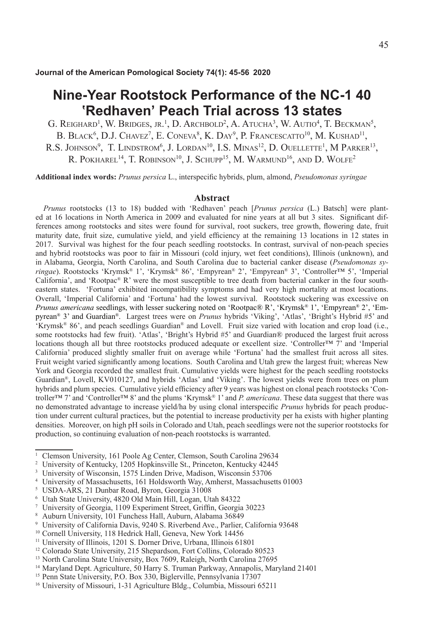# **Nine-Year Rootstock Performance of the NC-1 40 ʽRedhaven' Peach Trial across 13 states**

G. Reighard<sup>1</sup>, W. Bridges, jr.<sup>1</sup>, D. Archbold<sup>2</sup>, A. Atucha<sup>3</sup>, W. Autio<sup>4</sup>, T. Beckman<sup>5</sup>, B. Black<sup>6</sup>, D.J. Chavez<sup>7</sup>, E. Coneva<sup>8</sup>, K. Day<sup>9</sup>, P. Francescatto<sup>10</sup>, M. Kushad<sup>11</sup>, R.S. JOHNSON<sup>9</sup>, T. LINDSTROM<sup>6</sup>, J. LORDAN<sup>10</sup>, I.S. MINAS<sup>12</sup>, D. OUELLETTE<sup>1</sup>, M PARKER<sup>13</sup>, R. POKHAREL<sup>14</sup>, T. ROBINSON<sup>10</sup>, J. SCHUPP<sup>15</sup>, M. WARMUND<sup>16</sup>, AND D. WOLFE<sup>2</sup>

**Additional index words:** *Prunus persica* L., interspecific hybrids, plum, almond, *Pseudomonas syringae*

### **Abstract**

*Prunus* rootstocks (13 to 18) budded with 'Redhaven' peach [*Prunus persica* (L.) Batsch] were planted at 16 locations in North America in 2009 and evaluated for nine years at all but 3 sites. Significant differences among rootstocks and sites were found for survival, root suckers, tree growth, flowering date, fruit maturity date, fruit size, cumulative yield, and yield efficiency at the remaining 13 locations in 12 states in 2017. Survival was highest for the four peach seedling rootstocks. In contrast, survival of non-peach species and hybrid rootstocks was poor to fair in Missouri (cold injury, wet feet conditions), Illinois (unknown), and in Alabama, Georgia, North Carolina, and South Carolina due to bacterial canker disease (*Pseudomonas syringae*). Rootstocks 'Krymsk® 1', 'Krymsk® 86', 'Empyrean® 2', 'Empyrean® 3', 'Controller™ 5', 'Imperial California', and 'Rootpac® R' were the most susceptible to tree death from bacterial canker in the four southeastern states. 'Fortuna' exhibited incompatibility symptoms and had very high mortality at most locations. Overall, 'Imperial California' and 'Fortuna' had the lowest survival. Rootstock suckering was excessive on *Prunus americana* seedlings, with lesser suckering noted on 'Rootpac® R', 'Krymsk® 1', 'Empyrean® 2', 'Empyrean® 3' and Guardian®. Largest trees were on *Prunus* hybrids 'Viking', 'Atlas', 'Bright's Hybrid #5' and 'Krymsk® 86', and peach seedlings Guardian® and Lovell. Fruit size varied with location and crop load (i.e., some rootstocks had few fruit). 'Atlas', 'Bright's Hybrid #5' and Guardian® produced the largest fruit across locations though all but three rootstocks produced adequate or excellent size. 'Controller™ 7' and 'Imperial California' produced slightly smaller fruit on average while 'Fortuna' had the smallest fruit across all sites. Fruit weight varied significantly among locations. South Carolina and Utah grew the largest fruit; whereas New York and Georgia recorded the smallest fruit. Cumulative yields were highest for the peach seedling rootstocks Guardian®, Lovell, KV010127, and hybrids 'Atlas' and 'Viking'. The lowest yields were from trees on plum hybrids and plum species. Cumulative yield efficiency after 9 years was highest on clonal peach rootstocks 'Controller™ 7' and 'Controller™ 8' and the plums 'Krymsk® 1' and *P. americana*. These data suggest that there was no demonstrated advantage to increase yield/ha by using clonal interspecific *Prunus* hybrids for peach production under current cultural practices, but the potential to increase productivity per ha exists with higher planting densities. Moreover, on high pH soils in Colorado and Utah, peach seedlings were not the superior rootstocks for production, so continuing evaluation of non-peach rootstocks is warranted.

<sup>5</sup> USDA-ARS, 21 Dunbar Road, Byron, Georgia 31008

<sup>&</sup>lt;sup>1</sup> Clemson University, 161 Poole Ag Center, Clemson, South Carolina 29634<br><sup>2</sup> University of Kentucky, 1205 Honkinsville St. Princeton, Kentucky 42445

<sup>2</sup> University of Kentucky, 1205 Hopkinsville St., Princeton, Kentucky 42445

<sup>&</sup>lt;sup>3</sup> University of Wisconsin, 1575 Linden Drive, Madison, Wisconsin 53706

<sup>4</sup> University of Massachusetts, 161 Holdsworth Way, Amherst, Massachusetts 01003

<sup>6</sup> Utah State University, 4820 Old Main Hill, Logan, Utah 84322

<sup>7</sup> University of Georgia, 1109 Experiment Street, Griffin, Georgia 30223

<sup>8</sup> Auburn University, 101 Funchess Hall, Auburn, Alabama 36849

<sup>9</sup> University of California Davis, 9240 S. Riverbend Ave., Parlier, California 93648

<sup>10</sup> Cornell University, 118 Hedrick Hall, Geneva, New York 14456

<sup>11</sup> University of Illinois, 1201 S. Dorner Drive, Urbana, Illinois 61801

<sup>12</sup> Colorado State University, 215 Shepardson, Fort Collins, Colorado 80523

<sup>&</sup>lt;sup>13</sup> North Carolina State University, Box 7609, Raleigh, North Carolina 27695

<sup>&</sup>lt;sup>14</sup> Maryland Dept. Agriculture, 50 Harry S. Truman Parkway, Annapolis, Maryland 21401

<sup>15</sup> Penn State University, P.O. Box 330, Biglerville, Pennsylvania 17307

<sup>16</sup> University of Missouri, 1-31 Agriculture Bldg., Columbia, Missouri 65211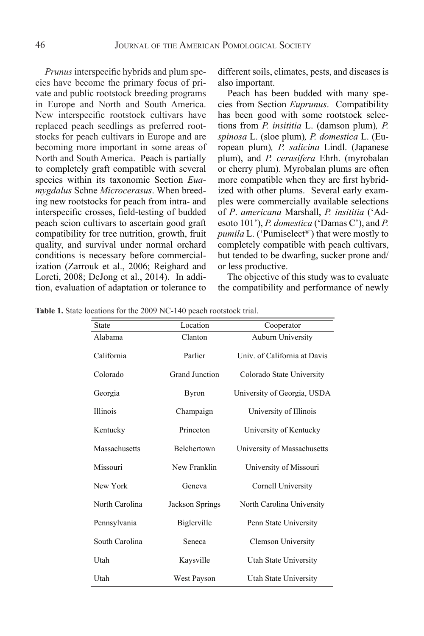*Prunus* interspecific hybrids and plum species have become the primary focus of private and public rootstock breeding programs in Europe and North and South America. New interspecific rootstock cultivars have replaced peach seedlings as preferred rootstocks for peach cultivars in Europe and are becoming more important in some areas of North and South America. Peach is partially to completely graft compatible with several species within its taxonomic Section *Euamygdalus* Schne *Microcerasus*. When breeding new rootstocks for peach from intra- and interspecific crosses, field-testing of budded peach scion cultivars to ascertain good graft compatibility for tree nutrition, growth, fruit quality, and survival under normal orchard conditions is necessary before commercialization (Zarrouk et al., 2006; Reighard and Loreti, 2008; DeJong et al., 2014). In addi-Eccel, 2000, Becong et al., 2011). In data  $\mu$  at a and  $\mu$  and  $\mu$  and  $\mu$  are  $\mu$  and  $\mu$ 

different soils, climates, pests, and diseases is also important.

Peach has been budded with many species from Section *Euprunus*. Compatibility has been good with some rootstock selections from *P. insititia* L. (damson plum)*, P. spinosa* L. (sloe plum)*, P. domestica* L. (European plum)*, P. salicina* Lindl. (Japanese plum), and *P. cerasifera* Ehrh. (myrobalan or cherry plum). Myrobalan plums are often more compatible when they are first hybridized with other plums. Several early examples were commercially available selections of *P*. *americana* Marshall, *P. insititia* ('Adesoto 101'), *P. domestica* ('Damas C'), and *P. pumila* L. ('Pumiselect®') that were mostly to completely compatible with peach cultivars, but tended to be dwarfing, sucker prone and/ or less productive.

The objective of this study was to evaluate the compatibility and performance of newly

**Table 1.** State locations for the 2009 NC-140 peach rootstock trial.

| <b>State</b>    | Location        | Cooperator                   |
|-----------------|-----------------|------------------------------|
| Alabama         | Clanton         | Auburn University            |
| California      | Parlier         | Univ. of California at Davis |
| Colorado        | Grand Junction  | Colorado State University    |
| Georgia         | <b>Byron</b>    | University of Georgia, USDA  |
| <b>Illinois</b> | Champaign       | University of Illinois       |
| Kentucky        | Princeton       | University of Kentucky       |
| Massachusetts   | Belchertown     | University of Massachusetts  |
| Missouri        | New Franklin    | University of Missouri       |
| New York        | Geneva          | Cornell University           |
| North Carolina  | Jackson Springs | North Carolina University    |
| Pennsylvania    | Biglerville     | Penn State University        |
| South Carolina  | Seneca          | Clemson University           |
| Utah            | Kaysville       | Utah State University        |
| Utah            | West Payson     | Utah State University        |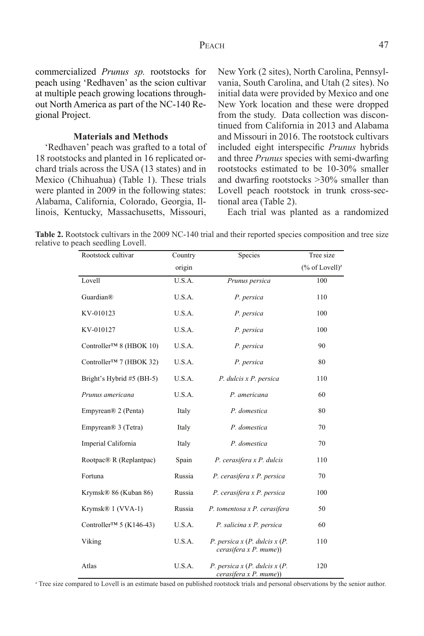commercialized *Prunus sp.* rootstocks for peach using 'Redhaven' as the scion cultivar at multiple peach growing locations throughout North America as part of the NC-140 Regional Project.

### **Materials and Methods**

'Redhaven' peach was grafted to a total of 18 rootstocks and planted in 16 replicated orchard trials across the USA (13 states) and in Mexico (Chihuahua) (Table 1). These trials were planted in 2009 in the following states: Alabama, California, Colorado, Georgia, Illinois, Kentucky, Massachusetts, Missouri,

Rootstock cultivar Country

New York (2 sites), North Carolina, Pennsylvania, South Carolina, and Utah (2 sites). No initial data were provided by Mexico and one New York location and these were dropped from the study. Data collection was discontinued from California in 2013 and Alabama and Missouri in 2016. The rootstock cultivars included eight interspecific *Prunus* hybrids and three *Prunus* species with semi-dwarfing rootstocks estimated to be 10-30% smaller and dwarfing rootstocks >30% smaller than Lovell peach rootstock in trunk cross-sectional area (Table 2).

Each trial was planted as a randomized

Species Tree size

Table 2. Rootstock cultivars in the 2009 NC-140 trial and their reported species composition and tree size relative to peach seedling Lovell.

|                                      | origin |                                                           | $(\%$ of Lovell) <sup>z</sup> |
|--------------------------------------|--------|-----------------------------------------------------------|-------------------------------|
| Lovell                               | U.S.A. | Prunus persica                                            | 100                           |
| Guardian®                            | U.S.A. | P. persica                                                | 110                           |
| KV-010123                            | U.S.A. | P. persica                                                | 100                           |
| KV-010127                            | U.S.A. | P. persica                                                | 100                           |
| Controller <sup>TM</sup> 8 (HBOK 10) | U.S.A. | P. persica                                                | 90                            |
| Controller <sup>™</sup> 7 (HBOK 32)  | U.S.A. | P. persica                                                | 80                            |
| Bright's Hybrid #5 (BH-5)            | U.S.A. | P. dulcis x P. persica                                    | 110                           |
| Prunus americana                     | U.S.A. | P. americana                                              | 60                            |
| Empyrean <sup>®</sup> 2 (Penta)      | Italy  | P. domestica                                              | 80                            |
| Empyrean <sup>®</sup> 3 (Tetra)      | Italy  | P. domestica                                              | 70                            |
| Imperial California                  | Italy  | P. domestica                                              | 70                            |
| Rootpac® R (Replantpac)              | Spain  | P. cerasifera x P. dulcis                                 | 110                           |
| Fortuna                              | Russia | P. cerasifera x P. persica                                | 70                            |
| Krymsk® 86 (Kuban 86)                | Russia | P. cerasifera x P. persica                                | 100                           |
| Krymsk® 1 (VVA-1)                    | Russia | P. tomentosa x P. cerasifera                              | 50                            |
| Controller <sup>TM</sup> 5 (K146-43) | U.S.A. | P. salicina x P. persica                                  | 60                            |
| Viking                               | U.S.A. | P. persica $x(P.$ dulcis $x(P.$<br>cerasifera x P. mume)  | 110                           |
| Atlas                                | U.S.A. | P. persica $x(P.$ dulcis $x(P.$<br>cerasifera x P. mume)) | 120                           |

<sup>z</sup> Tree size compared to Lovell is an estimate based on published rootstock trials and personal observations by the senior author.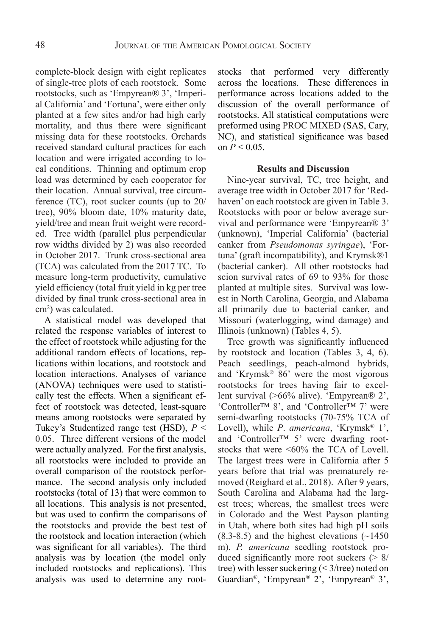complete-block design with eight replicates of single-tree plots of each rootstock. Some rootstocks, such as 'Empyrean® 3', 'Imperial California' and 'Fortuna', were either only planted at a few sites and/or had high early mortality, and thus there were significant missing data for these rootstocks. Orchards received standard cultural practices for each location and were irrigated according to local conditions. Thinning and optimum crop load was determined by each cooperator for their location. Annual survival, tree circumference (TC), root sucker counts (up to 20/ tree), 90% bloom date, 10% maturity date, yield/tree and mean fruit weight were recorded. Tree width (parallel plus perpendicular row widths divided by 2) was also recorded in October 2017. Trunk cross-sectional area (TCA) was calculated from the 2017 TC. To measure long-term productivity, cumulative yield efficiency (total fruit yield in kg per tree divided by final trunk cross-sectional area in cm2 ) was calculated.

A statistical model was developed that related the response variables of interest to the effect of rootstock while adjusting for the additional random effects of locations, replications within locations, and rootstock and location interactions. Analyses of variance (ANOVA) techniques were used to statistically test the effects. When a significant effect of rootstock was detected, least-square means among rootstocks were separated by Tukey's Studentized range test (HSD), *P* < 0.05. Three different versions of the model were actually analyzed. For the first analysis, all rootstocks were included to provide an overall comparison of the rootstock performance. The second analysis only included rootstocks (total of 13) that were common to all locations. This analysis is not presented, but was used to confirm the comparisons of the rootstocks and provide the best test of the rootstock and location interaction (which was significant for all variables). The third analysis was by location (the model only included rootstocks and replications). This analysis was used to determine any rootstocks that performed very differently across the locations. These differences in performance across locations added to the discussion of the overall performance of rootstocks. All statistical computations were preformed using PROC MIXED (SAS, Cary, NC), and statistical significance was based on  $P < 0.05$ .

### **Results and Discussion**

Nine-year survival, TC, tree height, and average tree width in October 2017 for 'Redhaven' on each rootstock are given in Table 3. Rootstocks with poor or below average survival and performance were 'Empyrean® 3' (unknown), 'Imperial California' (bacterial canker from *Pseudomonas syringae*), 'Fortuna' (graft incompatibility), and Krymsk®1 (bacterial canker). All other rootstocks had scion survival rates of 69 to 93% for those planted at multiple sites. Survival was lowest in North Carolina, Georgia, and Alabama all primarily due to bacterial canker, and Missouri (waterlogging, wind damage) and Illinois (unknown) (Tables 4, 5).

Tree growth was significantly influenced by rootstock and location (Tables 3, 4, 6). Peach seedlings, peach-almond hybrids, and 'Krymsk® 86' were the most vigorous rootstocks for trees having fair to excellent survival (>66% alive). 'Empyrean® 2', 'Controller™ 8', and 'Controller™ 7' were semi-dwarfing rootstocks (70-75% TCA of Lovell), while *P*. *americana*, 'Krymsk® 1', and 'Controller™ 5' were dwarfing rootstocks that were <60% the TCA of Lovell. The largest trees were in California after 5 years before that trial was prematurely removed (Reighard et al., 2018). After 9 years, South Carolina and Alabama had the largest trees; whereas, the smallest trees were in Colorado and the West Payson planting in Utah, where both sites had high pH soils  $(8.3-8.5)$  and the highest elevations  $(\sim 1450$ m). *P. americana* seedling rootstock produced significantly more root suckers  $(28)$ tree) with lesser suckering (< 3/tree) noted on Guardian®, 'Empyrean® 2', 'Empyrean® 3',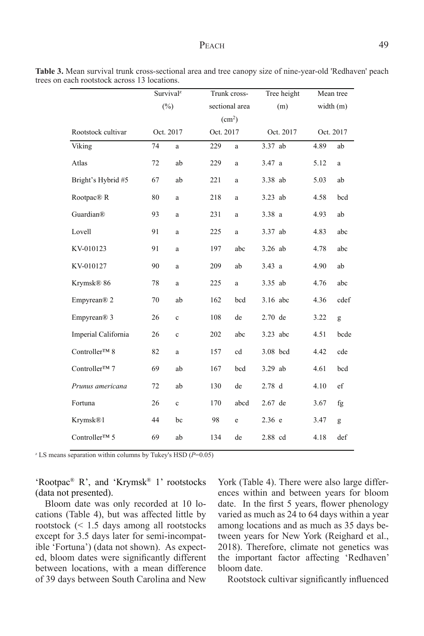|                           |    | Survival <sup>z</sup> |           | Trunk cross-       | Tree height       |             | Mean tree   |  |
|---------------------------|----|-----------------------|-----------|--------------------|-------------------|-------------|-------------|--|
|                           |    | (%)                   |           | sectional area     | (m)               | width $(m)$ |             |  |
|                           |    |                       |           | (cm <sup>2</sup> ) |                   |             |             |  |
| Rootstock cultivar        |    | Oct. 2017             | Oct. 2017 |                    | Oct. 2017         |             | Oct. 2017   |  |
| Viking                    | 74 | $\mathbf{a}$          | 229       | a                  | 3.37 ab           | 4.89        | ab          |  |
| Atlas                     | 72 | ab                    | 229       | $\rm{a}$           | 3.47 a            | 5.12        | a           |  |
| Bright's Hybrid #5        | 67 | ab                    | 221       | $\mathbf{a}$       | 3.38 ab           | 5.03        | ab          |  |
| Rootpac® R                | 80 | a                     | 218       | a                  | 3.23 ab           | 4.58        | bcd         |  |
| Guardian®                 | 93 | a                     | 231       | a                  | 3.38a             | 4.93        | ab          |  |
| Lovell                    | 91 | a                     | 225       | a                  | 3.37 ab           | 4.83        | abc         |  |
| KV-010123                 | 91 | a                     | 197       | abc                | $3.26$ ab         | 4.78        | abc         |  |
| KV-010127                 | 90 | a                     | 209       | ab                 | 3.43a             | 4.90        | ab          |  |
| Krymsk® 86                | 78 | a                     | 225       | a                  | 3.35 ab           | 4.76        | abc         |  |
| Empyrean <sup>®</sup> 2   | 70 | ab                    | 162       | bcd                | 3.16 abc          | 4.36        | cdef        |  |
| Empyrean <sup>®</sup> 3   | 26 | $\mathbf c$           | 108       | de                 | $2.70$ de         | 3.22        | g           |  |
| Imperial California       | 26 | $\mathbf c$           | 202       | abc                | $3.23$ abc        | 4.51        | bcde        |  |
| Controller™ 8             | 82 | a                     | 157       | cd                 | 3.08 bcd          | 4.42        | cde         |  |
| Controller <sup>™</sup> 7 | 69 | ab                    | 167       | bcd                | 3.29 ab           | 4.61        | bcd         |  |
| Prunus americana          | 72 | ab                    | 130       | de                 | 2.78 <sub>d</sub> | 4.10        | $_{\rm ef}$ |  |
| Fortuna                   | 26 | $\mathbf c$           | 170       | abcd               | 2.67 de           | 3.67        | fg          |  |
| Krymsk®1                  | 44 | bc                    | 98        | e                  | 2.36 e            | 3.47        | g           |  |
| Controller™ 5             | 69 | ab                    | 134       | de                 | 2.88 cd           | 4.18        | def         |  |

**Table 3.** Mean survival trunk cross-sectional area and tree canopy size of nine-year-old 'Redhaven' peach trees on each rootstock across 13 locations.

 $Z$  LS means separation within columns by Tukey's HSD ( $P=0.05$ )

'Rootpac® R', and 'Krymsk® 1' rootstocks (data not presented).

Bloom date was only recorded at 10 locations (Table 4), but was affected little by rootstock (< 1.5 days among all rootstocks except for 3.5 days later for semi-incompatible 'Fortuna') (data not shown). As expected, bloom dates were significantly different between locations, with a mean difference of 39 days between South Carolina and New

York (Table 4). There were also large differences within and between years for bloom date. In the first 5 years, flower phenology varied as much as 24 to 64 days within a year among locations and as much as 35 days between years for New York (Reighard et al., 2018). Therefore, climate not genetics was the important factor affecting 'Redhaven' bloom date.

Rootstock cultivar significantly influenced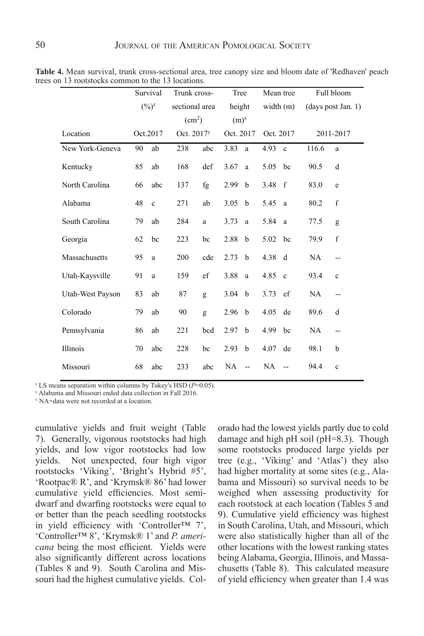|                  |    | Survival                      | Trunk cross-           |     | Tree             |                | Mean tree   |              | Full bloom |                    |
|------------------|----|-------------------------------|------------------------|-----|------------------|----------------|-------------|--------------|------------|--------------------|
|                  |    | $(\frac{9}{6})^{\frac{z}{2}}$ | sectional area         |     | height           |                | width $(m)$ |              |            | (days post Jan. 1) |
|                  |    |                               | (cm <sup>2</sup> )     |     | (m) <sup>x</sup> |                |             |              |            |                    |
| Location         |    | Oct.2017                      | Oct. 2017 <sup>y</sup> |     | Oct. 2017        |                | Oct. 2017   |              |            | 2011-2017          |
| New York-Geneva  | 90 | ab                            | 238                    | abc | 3.83             | a              | 4.93        | $\mathbf{c}$ | 116.6      | a                  |
| Kentucky         | 85 | ab                            | 168                    | def | 3.67             | a              | 5.05        | bc           | 90.5       | d                  |
| North Carolina   | 66 | abc                           | 137                    | fg  | 2.99             | $\mathbf b$    | 3.48        | $-f$         | 83.0       | e                  |
| Alabama          | 48 | $\mathbf c$                   | 271                    | ab  | 3.05             | $\mathbf b$    | 5.45        | a            | 80.2       | f                  |
| South Carolina   | 79 | ab                            | 284                    | a   | 3.73             | a              | 5.84        | <sub>a</sub> | 77.5       | g                  |
| Georgia          | 62 | bc                            | 223                    | bc  | 2.88             | $\mathbf b$    | 5.02        | bc           | 79.9       | $\mathbf f$        |
| Massachusetts    | 95 | a                             | 200                    | cde | 2.73             | $\mathbf b$    | 4.38        | d            | NA         | --                 |
| Utah-Kaysville   | 91 | a                             | 159                    | ef  | 3.88             | a              | 4.85        | $\mathbf{c}$ | 93.4       | $\mathbf c$        |
| Utah-West Payson | 83 | ab                            | 87                     | g   | 3.04             | $\mathbf b$    | 3.73        | ef           | NA         | --                 |
| Colorado         | 79 | ab                            | 90                     | g   | 2.96             | $\mathbf b$    | 4.05        | de           | 89.6       | d                  |
| Pennsylvania     | 86 | ab                            | 221                    | bcd | 2.97             | $\mathbf b$    | 4.99        | bc           | NA         | $\overline{a}$     |
| Illinois         | 70 | abc                           | 228                    | bc  | 2.93             | $\mathbf b$    | 4.07        | de           | 98.1       | b                  |
| Missouri         | 68 | abc                           | 233                    | abc | NA               | $\overline{a}$ | NA          | --           | 94.4       | $\mathbf c$        |

Table 4. Mean survival, trunk cross-sectional area, tree canopy size and bloom date of 'Redhaven' peach trees on 13 rootstocks common to the 13 locations.

z LS means separation within columns by Tukey's HSD (*P=*0.05). z LS means separation within columns by Tukey's HSD (*P*=0.05).

y Alabama and Missouri ended data collection in Fall 2016.

<sup>x</sup> NA=data were not recorded at a location.

cumulative yields and fruit weight (Table 7). Generally, vigorous rootstocks had high yields, and low vigor rootstocks had low some rootstocks Not unexpected, four high vigor rootstocks 'Viking', 'Bright's Hybrid #5', 'Rootpac® R', and 'Krymsk® 86' had lower cumulative yield efficiencies. Most semidwarf and dwarfing rootstocks were equal to or better than the peach seedling rootstocks in yield efficiency with 'Controller™ 7', 'Controller™ 8', 'Krymsk® 1' and *P. americana* being the most efficient. Yields were also significantly different across locations (Tables 8 and 9). South Carolina and Missouri had the highest cumulative yields. Colvields.

orado had the lowest yields partly due to cold damage and high pH soil (pH=8.3). Though some rootstocks produced large yields per tree (e.g., 'Viking' and 'Atlas') they also had higher mortality at some sites (e.g., Alabama and Missouri) so survival needs to be weighed when assessing productivity for each rootstock at each location (Tables 5 and 9). Cumulative yield efficiency was highest in South Carolina, Utah, and Missouri, which were also statistically higher than all of the other locations with the lowest ranking states being Alabama, Georgia, Illinois, and Massachusetts (Table 8). This calculated measure of yield efficiency when greater than 1.4 was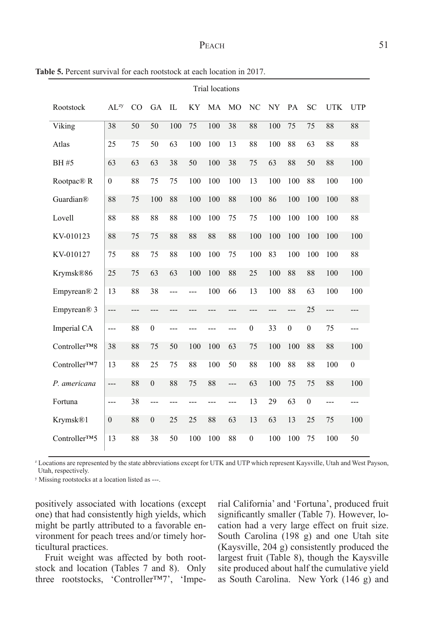| <b>Trial locations</b>  |                  |     |                  |     |           |     |                |                  |     |                  |                  |            |              |
|-------------------------|------------------|-----|------------------|-----|-----------|-----|----------------|------------------|-----|------------------|------------------|------------|--------------|
| Rootstock               | $AL^{zy}$        | CO  | GA               | IL  | <b>KY</b> | MA  | <b>MO</b>      | NC               | NY  | PA               | <b>SC</b>        | <b>UTK</b> | <b>UTP</b>   |
| Viking                  | 38               | 50  | 50               | 100 | 75        | 100 | 38             | 88               | 100 | 75               | 75               | 88         | 88           |
| Atlas                   | 25               | 75  | 50               | 63  | 100       | 100 | 13             | 88               | 100 | 88               | 63               | 88         | 88           |
| <b>BH#5</b>             | 63               | 63  | 63               | 38  | 50        | 100 | 38             | 75               | 63  | 88               | 50               | 88         | 100          |
| Rootpac <sup>®</sup> R  | $\boldsymbol{0}$ | 88  | 75               | 75  | 100       | 100 | 100            | 13               | 100 | 100              | 88               | 100        | 100          |
| Guardian®               | 88               | 75  | 100              | 88  | 100       | 100 | 88             | 100              | 86  | 100              | 100              | 100        | 88           |
| Lovell                  | 88               | 88  | 88               | 88  | 100       | 100 | 75             | 75               | 100 | 100              | 100              | 100        | 88           |
| KV-010123               | 88               | 75  | 75               | 88  | 88        | 88  | 88             | 100              | 100 | 100              | 100              | 100        | 100          |
| KV-010127               | 75               | 88  | 75               | 88  | 100       | 100 | 75             | 100              | 83  | 100              | 100              | 100        | 88           |
| Krymsk®86               | 25               | 75  | 63               | 63  | 100       | 100 | 88             | 25               | 100 | 88               | 88               | 100        | 100          |
| Empyrean® 2             | 13               | 88  | 38               | --- | ---       | 100 | 66             | 13               | 100 | 88               | 63               | 100        | 100          |
| Empyrean <sup>®</sup> 3 | ---              | --- | ---              | --- | ---       | --- | ---            | ---              | --- | ---              | 25               | ---        | ---          |
| Imperial CA             | $\overline{a}$   | 88  | $\boldsymbol{0}$ | --- | ---       | --- | ---            | $\boldsymbol{0}$ | 33  | $\boldsymbol{0}$ | $\boldsymbol{0}$ | 75         | ---          |
| Controller™8            | 38               | 88  | 75               | 50  | 100       | 100 | 63             | 75               | 100 | 100              | 88               | 88         | 100          |
| Controller™7            | 13               | 88  | 25               | 75  | 88        | 100 | 50             | 88               | 100 | 88               | 88               | 100        | $\mathbf{0}$ |
| P. americana            | ---              | 88  | $\overline{0}$   | 88  | 75        | 88  | $---$          | 63               | 100 | 75               | 75               | 88         | 100          |
| Fortuna                 | ---              | 38  | $\overline{a}$   | --- | ---       | --- | $\overline{a}$ | 13               | 29  | 63               | $\boldsymbol{0}$ | ---        | ---          |
| Krymsk®1                | $\boldsymbol{0}$ | 88  | $\boldsymbol{0}$ | 25  | 25        | 88  | 63             | 13               | 63  | 13               | 25               | 75         | 100          |
| Controller™5            | 13               | 88  | 38               | 50  | 100       | 100 | 88             | $\mathbf{0}$     | 100 | 100              | 75               | 100        | 50           |

**Table 5.** Percent survival for each rootstock at each location in 2017.

<sup>2</sup> Locations are represented by the state abbreviations except for UTK and UTP which represent Kaysville, Utah and West Payson, Utah, respectively.

v Missing rootstocks at a location listed as ---.

positively associated with locations (except one) that had consistently high yields, which might be partly attributed to a favorable environment for peach trees and/or timely horticultural practices.

Fruit weight was affected by both rootstock and location (Tables 7 and 8). Only three rootstocks, 'Controller™7', 'Imperial California' and 'Fortuna', produced fruit significantly smaller (Table 7). However, location had a very large effect on fruit size. South Carolina (198 g) and one Utah site (Kaysville, 204 g) consistently produced the largest fruit (Table 8), though the Kaysville site produced about half the cumulative yield as South Carolina. New York (146 g) and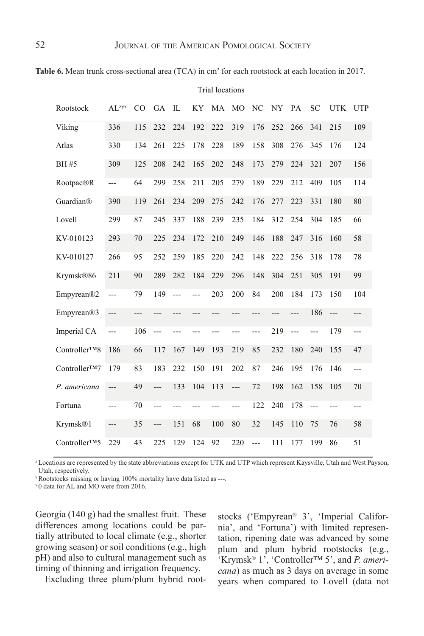|                            |                   | <b>Trial locations</b> |                |       |           |     |                |                |           |        |       |            |            |
|----------------------------|-------------------|------------------------|----------------|-------|-----------|-----|----------------|----------------|-----------|--------|-------|------------|------------|
| Rootstock                  | AI <sub>zyx</sub> | CO                     | <b>GA</b>      | IL    | <b>KY</b> | MA  | MO             | N <sub>C</sub> | <b>NY</b> | PA     | SC    | <b>UTK</b> | <b>UTP</b> |
| Viking                     | 336               | 115                    | 232            | 224   | 192       | 222 | 319            | 176            | 252       | 266    | 341   | 215        | 109        |
| Atlas                      | 330               | 134                    | 261            | 225   | 178       | 228 | 189            | 158            | 308       | 276    | 345   | 176        | 124        |
| <b>BH#5</b>                | 309               | 125                    | 208            | 242   | 165       | 202 | 248            | 173            | 279       | 224    | 321   | 207        | 156        |
| Rootpac®R                  | ---               | 64                     | 299            | 258   | 211       | 205 | 279            | 189            | 229       | 212    | 409   | 105        | 114        |
| Guardian®                  | 390               | 119                    | 261            | 234   | 209       | 275 | 242            | 176            | 277       | 223    | 331   | 180        | 80         |
| Lovell                     | 299               | 87                     | 245            | 337   | 188       | 239 | 235            | 184            | 312       | 254    | 304   | 185        | 66         |
| KV-010123                  | 293               | 70                     | 225            | 234   | 172       | 210 | 249            | 146            | 188       | 247    | 316   | 160        | 58         |
| KV-010127                  | 266               | 95                     | 252            | 259   | 185       | 220 | 242            | 148            | 222       | 256    | 318   | 178        | 78         |
| Krymsk®86                  | 211               | 90                     | 289            | 282   | 184       | 229 | 296            | 148            | 304       | 251    | 305   | 191        | 99         |
| Empyrean®2                 | $\overline{a}$    | 79                     | 149            | $---$ | ---       | 203 | 200            | 84             | 200       | 184    | 173   | 150        | 104        |
| Empyrean®3                 | ---               | ---                    | ---            | ---   | ---       | --- | ---            | ---            | ---       | ---    | 186   | ---        | ---        |
| Imperial CA                | ---               | 106                    | $---$          | ---   | ---       | --- | ---            | ---            | 219       | $\sim$ | $---$ | 179        | ---        |
| Controller <sup>TM</sup> 8 | 186               | 66                     | 117            | 167   | 149       | 193 | 219            | 85             | 232       | 180    | 240   | 155        | 47         |
| Controller™7               | 179               | 83                     | 183            | 232   | 150       | 191 | 202            | 87             | 246       | 195    | 176   | 146        | ---        |
| P. americana               | ---               | 49                     | $\overline{a}$ | 133   | 104       | 113 | $\overline{a}$ | 72             | 198       | 162    | 158   | 105        | 70         |
| Fortuna                    | $\overline{a}$    | 70                     | ---            | ---   | ---       |     | ---            | 122            | 240       | 178    | $---$ | ---        | ---        |
| Krymsk®1                   | $---$             | 35                     | ---            | 151   | 68        | 100 | 80             | 32             | 145       | 110    | 75    | 76         | 58         |
| Controller™5               | 229               | 43                     | 225            | 129   | 124       | 92  | 220            | ---            | 111       | 177    | 199   | 86         | 51         |

**Table 6.** Mean trunk cross-sectional area (TCA) in cm<sup>2</sup> for each rootstock at each location in 2017.

<sup>2</sup> Locations are represented by the state abbreviations except for UTK and UTP which represent Kaysville, Utah and West Payson, Utah, respectively.

<sup>y</sup>Rootstocks missing or having 100% mortality have data listed as ---.

<sup>x</sup> 0 data for AL and MO were from 2016.

Georgia (140 g) had the smallest fruit. These differences among locations could be partially attributed to local climate (e.g., shorter growing season) or soil conditions (e.g., high pH) and also to cultural management such as timing of thinning and irrigation frequency.

Excluding three plum/plum hybrid root-

stocks ('Empyrean® 3', 'Imperial California', and 'Fortuna') with limited representation, ripening date was advanced by some plum and plum hybrid rootstocks (e.g., 'Krymsk® 1', 'Controller™ 5', and *P. americana*) as much as 3 days on average in some years when compared to Lovell (data not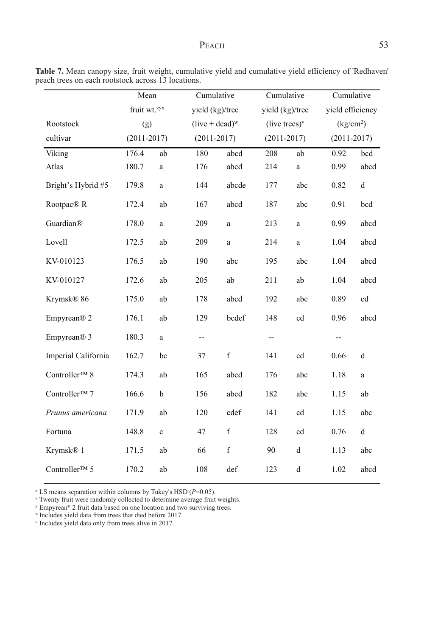# PEACH 53

|                         | Mean                     |             | Cumulative        |             | Cumulative                |                                                | Cumulative            |             |  |
|-------------------------|--------------------------|-------------|-------------------|-------------|---------------------------|------------------------------------------------|-----------------------|-------------|--|
|                         | fruit wt. <sup>zyx</sup> |             | yield (kg)/tree   |             | yield (kg)/tree           |                                                | yield efficiency      |             |  |
| Rootstock               | (g)                      |             | $(live + dead)^w$ |             | (live trees) $\mathbf{v}$ |                                                | (kg/cm <sup>2</sup> ) |             |  |
| cultivar                | $(2011 - 2017)$          |             | $(2011 - 2017)$   |             | $(2011 - 2017)$           |                                                | $(2011 - 2017)$       |             |  |
| Viking                  | 176.4                    | ab          | 180               | abcd        | 208                       | ab                                             | 0.92                  | bcd         |  |
| Atlas                   | 180.7                    | a           | 176               | abcd        | 214                       | a                                              | 0.99                  | abcd        |  |
| Bright's Hybrid #5      | 179.8                    | a           | 144               | abcde       | 177                       | abc                                            | 0.82                  | $\mathbf d$ |  |
| Rootpac® R              | 172.4                    | ab          | 167               | abcd        | 187                       | abc                                            | 0.91                  | bcd         |  |
| Guardian®               | 178.0                    | $\mathbf a$ | 209               | $\mathbf a$ | 213                       | $\mathbf{a}$                                   | 0.99                  | abcd        |  |
| Lovell                  | 172.5                    | ab          | 209               | a           | 214                       | $\rm{a}$                                       | 1.04                  | abcd        |  |
| KV-010123               | 176.5                    | ab          | 190               | abc         | 195                       | abc                                            | 1.04                  | abcd        |  |
| KV-010127               | 172.6                    | ab          | 205               | ab          | 211                       | ab                                             | 1.04                  | abcd        |  |
| Krymsk® 86              | 175.0                    | ab          | 178               | abcd        | 192                       | abc                                            | 0.89                  | cd          |  |
| Empyrean <sup>®</sup> 2 | 176.1                    | ab          | 129               | bcdef       | 148                       | cd                                             | 0.96                  | abcd        |  |
| Empyrean <sup>®</sup> 3 | 180.3                    | a           | --                |             | --                        |                                                | $\qquad \qquad -$     |             |  |
| Imperial California     | 162.7                    | bc          | 37                | $\mathbf f$ | 141                       | cd                                             | 0.66                  | $\rm d$     |  |
| Controller™ 8           | 174.3                    | ab          | 165               | abcd        | 176                       | abc                                            | 1.18                  | $\rm{a}$    |  |
| Controller™ 7           | 166.6                    | $\mathbf b$ | 156               | abcd        | 182                       | abc                                            | 1.15                  | ab          |  |
| Prunus americana        | 171.9                    | ab          | 120               | cdef        | 141                       | cd                                             | 1.15                  | abc         |  |
| Fortuna                 | 148.8                    | $\mathbf c$ | 47                | $\mathbf f$ | 128                       | cd                                             | 0.76                  | $\mathbf d$ |  |
| Krymsk® 1               | 171.5                    | ab          | 66                | $\mathbf f$ | 90                        | $\mathrm{d}% \left\  \mathcal{H}\right\  _{A}$ | 1.13                  | abc         |  |
| Controller™ 5           | 170.2                    | ab          | 108               | def         | 123                       | $\rm d$                                        | 1.02                  | abcd        |  |

**Table 7.** Mean canopy size, fruit weight, cumulative yield and cumulative yield efficiency of 'Redhaven' peach trees on each rootstock across 13 locations.

<sup>z</sup> LS means separation within columns by Tukey's HSD (*P*=0.05). z LS means separation within columns by Tukey's HSD (*P=*0.05).

<sup>y</sup> Twenty fruit were randomly collected to determine average fruit weights.

<sup>x</sup> Empyrean® 2 fruit data based on one location and two surviving trees.

w Impyream 2 nun data based on one tocation and two surviving trees.<br>"Includes yield data from trees that died before 2017.

<sup>v</sup> Includes yield data only from trees alive in 2017. <sup>x</sup> Empyrean® 2 fruit data based on one location and two surviving trees.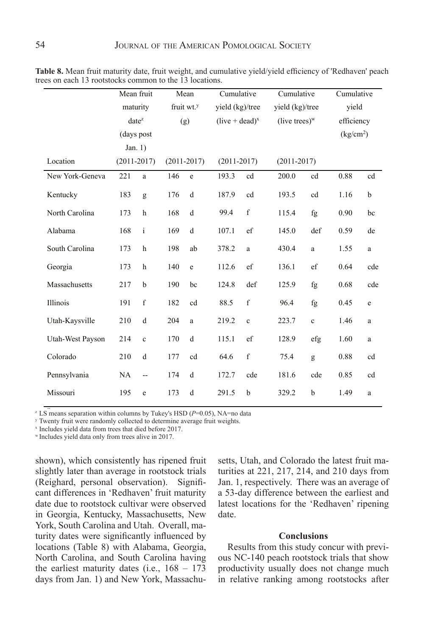|                  | Mean fruit      |                |               | Mean                   | Cumulative       |                 | Cumulative       |             | Cumulative            |              |
|------------------|-----------------|----------------|---------------|------------------------|------------------|-----------------|------------------|-------------|-----------------------|--------------|
|                  | maturity        |                |               | fruit wt. <sup>y</sup> |                  | yield (kg)/tree | yield (kg)/tree  |             | vield                 |              |
|                  |                 | $date^z$       |               | (g)                    | $(live + dead)x$ |                 | (live trees) $w$ |             | efficiency            |              |
|                  | (days post      |                |               |                        |                  |                 |                  |             | (kg/cm <sup>2</sup> ) |              |
|                  | Jan. $1)$       |                |               |                        |                  |                 |                  |             |                       |              |
| Location         | $(2011 - 2017)$ |                | $(2011-2017)$ |                        | $(2011 - 2017)$  |                 | $(2011 - 2017)$  |             |                       |              |
| New York-Geneva  | 221             | a              | 146           | $\rm e$                | 193.3            | cd              | 200.0            | cd          | 0.88                  | cd           |
| Kentucky         | 183             | g              | 176           | d                      | 187.9            | cd              | 193.5            | cd          | 1.16                  | b            |
| North Carolina   | 173             | h              | 168           | d                      | 99.4             | f               | 115.4            | fg          | 0.90                  | bc           |
| Alabama          | 168             | $\mathbf{i}$   | 169           | d                      | 107.1            | ef              | 145.0            | def         | 0.59                  | de           |
| South Carolina   | 173             | h              | 198           | ab                     | 378.2            | a               | 430.4            | a           | 1.55                  | a            |
| Georgia          | 173             | h              | 140           | e                      | 112.6            | ef              | 136.1            | ef          | 0.64                  | cde          |
| Massachusetts    | 217             | b              | 190           | bc                     | 124.8            | def             | 125.9            | fg          | 0.68                  | cde          |
| Illinois         | 191             | f              | 182           | cd                     | 88.5             | $\mathbf f$     | 96.4             | fg          | 0.45                  | $\mathbf e$  |
| Utah-Kaysville   | 210             | d              | 204           | a                      | 219.2            | $\mathbf c$     | 223.7            | $\mathbf c$ | 1.46                  | $\mathbf{a}$ |
| Utah-West Payson | 214             | $\mathbf c$    | 170           | d                      | 115.1            | ef              | 128.9            | efg         | 1.60                  | a            |
| Colorado         | 210             | d              | 177           | cd                     | 64.6             | $\mathbf f$     | 75.4             | g           | 0.88                  | cd           |
| Pennsylvania     | NA              | $\overline{a}$ | 174           | d                      | 172.7            | cde             | 181.6            | cde         | 0.85                  | cd           |
| Missouri         | 195             | e              | 173           | d                      | 291.5            | b               | 329.2            | b           | 1.49                  | a            |

**Table 8.** Mean fruit maturity date, fruit weight, and cumulative yield/yield efficiency of 'Redhaven' peach trees on 13 rootstocks common to the 13 locations. trees on each 13 rootstocks common to the 13 locations.

 $Z^2$  LS means separation within columns by Tukey's HSD ( $P=0.05$ ), NA=no data

<sup>y</sup> Twenty fruit were randomly collected to determine average fruit weights.

<sup>x</sup> Includes yield data from trees that died before 2017.

w Includes yield data nominees that died before 2017.

shown), which consistently has ripened fruit slightly later than average in rootstock trials (Reighard, personal observation). Significant differences in 'Redhaven' fruit maturity date due to rootstock cultivar were observed in Georgia, Kentucky, Massachusetts, New York, South Carolina and Utah. Overall, maturity dates were significantly influenced by locations (Table 8) with Alabama, Georgia, Results from this study concur v North Carolina, and South Carolina having the earliest maturity dates (i.e.,  $168 - 173$  productivity usually does not cha days from Jan. 1) and New York, Massachu-

setts, Utah, and Colorado the latest fruit maturities at 221, 217, 214, and 210 days from Jan. 1, respectively. There was an average of a 53-day difference between the earliest and latest locations for the 'Redhaven' ripening date.

# **Conclusions**

Results from this study concur with previous NC-140 peach rootstock trials that show productivity usually does not change much in relative ranking among rootstocks after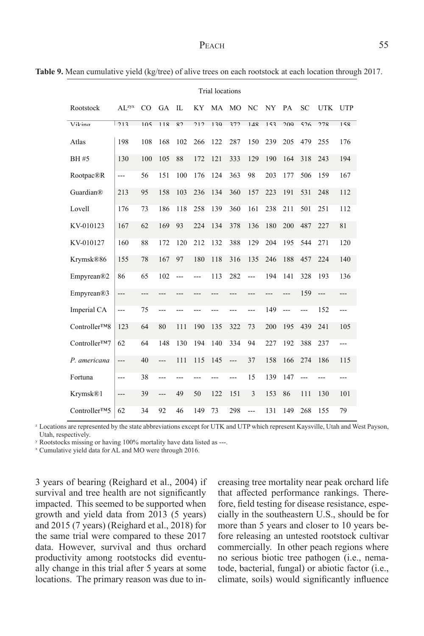Table 9. Mean cumulative yield (kg/tree) of alive trees on each rootstock at each location through 2017.

|                            |                          | <b>Trial locations</b> |                          |                |       |     |                          |                |     |       |       |                |            |
|----------------------------|--------------------------|------------------------|--------------------------|----------------|-------|-----|--------------------------|----------------|-----|-------|-------|----------------|------------|
| Rootstock                  | $AL^{zyx}$               | CO                     | <b>GA</b>                | IL             | KY    |     | MA MO                    | NC             | NY  | PA    | SC    | <b>UTK</b>     | <b>UTP</b> |
| Viting                     | 213                      | 105                    | 119                      | $\overline{S}$ | 212   | 130 | 372                      | 1/18           | 153 | 200   | 526   | 278            | 158        |
| Atlas                      | 198                      | 108                    | 168                      | 102            | 266   | 122 | 287                      | 150            | 239 | 205   | 479   | 255            | 176        |
| BH #5                      | 130                      | 100                    | 105                      | 88             | 172   | 121 | 333                      | 129            | 190 | 164   | 318   | 243            | 194        |
| Rootpac®R                  | $\overline{a}$           | 56                     | 151                      | 100            | 176   | 124 | 363                      | 98             | 203 | 177   | 506   | 159            | 167        |
| Guardian®                  | 213                      | 95                     | 158                      | 103            | 236   | 134 | 360                      | 157            | 223 | 191   | 531   | 248            | 112        |
| Lovell                     | 176                      | 73                     | 186                      | 118            | 258   | 139 | 360                      | 161            | 238 | 211   | 501   | 251            | 112        |
| KV-010123                  | 167                      | 62                     | 169                      | 93             | 224   | 134 | 378                      | 136            | 180 | 200   | 487   | 227            | 81         |
| KV-010127                  | 160                      | 88                     | 172                      | 120            | 212   | 132 | 388                      | 129            | 204 | 195   | 544   | 271            | 120        |
| Krymsk®86                  | 155                      | 78                     | 167                      | 97             | 180   | 118 | 316                      | 135            | 246 | 188   | 457   | 224            | 140        |
| Empyrean®2                 | 86                       | 65                     | 102                      | $\overline{a}$ | $---$ | 113 | 282                      | $---$          | 194 | 141   | 328   | 193            | 136        |
| Empyrean®3                 | ---                      | ---                    | ---                      | ---            | ---   | --- | ---                      | ---            | --- | $---$ | 159   | $\overline{a}$ | ---        |
| Imperial CA                | $---$                    | 75                     | ---                      | ---            | ---   | --- | ---                      | $---$          | 149 | $---$ | $---$ | 152            | ---        |
| Controller <sup>TM</sup> 8 | 123                      | 64                     | 80                       | 111            | 190   | 135 | 322                      | 73             | 200 | 195   | 439   | 241            | 105        |
| Controller <sup>TM</sup> 7 | 62                       | 64                     | 148                      | 130            | 194   | 140 | 334                      | 94             | 227 | 192   | 388   | 237            | ---        |
| P. americana               | ---                      | 40                     | $\overline{\phantom{a}}$ | 111            | 115   | 145 | $\overline{\phantom{a}}$ | 37             | 158 | 166   | 274   | 186            | 115        |
| Fortuna                    | $---$                    | 38                     | $---$                    | ---            | ---   | --- | ---                      | 15             | 139 | 147   | $---$ | $---$          | ---        |
| Krymsk®1                   | $\overline{\phantom{a}}$ | 39                     | $\overline{\phantom{a}}$ | 49             | 50    | 122 | 151                      | $\overline{3}$ | 153 | 86    | 111   | 130            | 101        |
| Controller <sup>TM</sup> 5 | 62                       | 34                     | 92                       | 46             | 149   | 73  | 298                      | ---            | 131 | 149   | 268   | 155            | 79         |

<sup>z</sup> Locations are represented by the state abbreviations except for UTK and UTP which represent Kaysville, Utah and West Payson, Utah, respectively.

y Rootstocks missing or having 100% mortality have data listed as ---.

<sup>x</sup> Cumulative yield data for AL and MO were through 2016.

3 years of bearing (Reighard et al., 2004) if creasing tree r survival and tree health are not significantly that impacted. This seemed to be supported when growth and yield data from 2013 (5 years) and 2015 (7 years) (Reighard et al., 2018) for the same trial were compared to these 2017 data. However, survival and thus orchard productivity among rootstocks did eventually change in this trial after 5 years at some locations. The primary reason was due to in-

creasing tree mortality near peak orchard life that affected performance rankings. Therefore, field testing for disease resistance, especially in the southeastern U.S., should be for more than 5 years and closer to 10 years before releasing an untested rootstock cultivar commercially. In other peach regions where no serious biotic tree pathogen (i.e., nematode, bacterial, fungal) or abiotic factor (i.e., climate, soils) would significantly influence